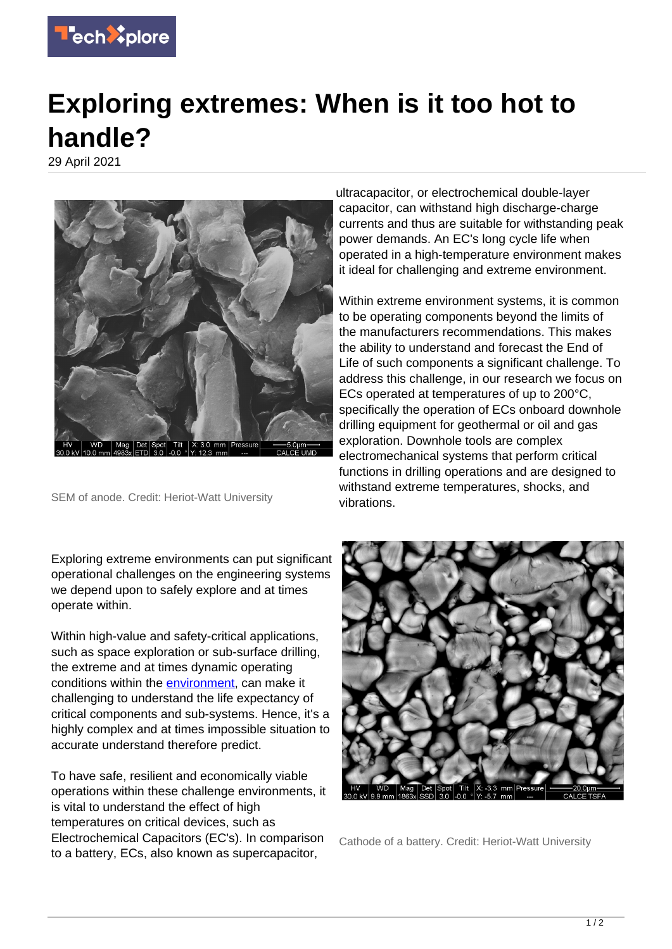

## **Exploring extremes: When is it too hot to handle?**

29 April 2021



SEM of anode. Credit: Heriot-Watt University

Exploring extreme environments can put significant operational challenges on the engineering systems we depend upon to safely explore and at times operate within.

Within high-value and safety-critical applications, such as space exploration or sub-surface drilling, the extreme and at times dynamic operating conditions within the [environment,](https://techxplore.com/tags/environment/) can make it challenging to understand the life expectancy of critical components and sub-systems. Hence, it's a highly complex and at times impossible situation to accurate understand therefore predict.

To have safe, resilient and economically viable operations within these challenge environments, it is vital to understand the effect of high temperatures on critical devices, such as Electrochemical Capacitors (EC's). In comparison to a battery, ECs, also known as supercapacitor,

ultracapacitor, or electrochemical double-layer capacitor, can withstand high discharge-charge currents and thus are suitable for withstanding peak power demands. An EC's long cycle life when operated in a high-temperature environment makes it ideal for challenging and extreme environment.

Within extreme environment systems, it is common to be operating components beyond the limits of the manufacturers recommendations. This makes the ability to understand and forecast the End of Life of such components a significant challenge. To address this challenge, in our research we focus on ECs operated at temperatures of up to 200°C, specifically the operation of ECs onboard downhole drilling equipment for geothermal or oil and gas exploration. Downhole tools are complex electromechanical systems that perform critical functions in drilling operations and are designed to withstand extreme temperatures, shocks, and vibrations.



Cathode of a battery. Credit: Heriot-Watt University